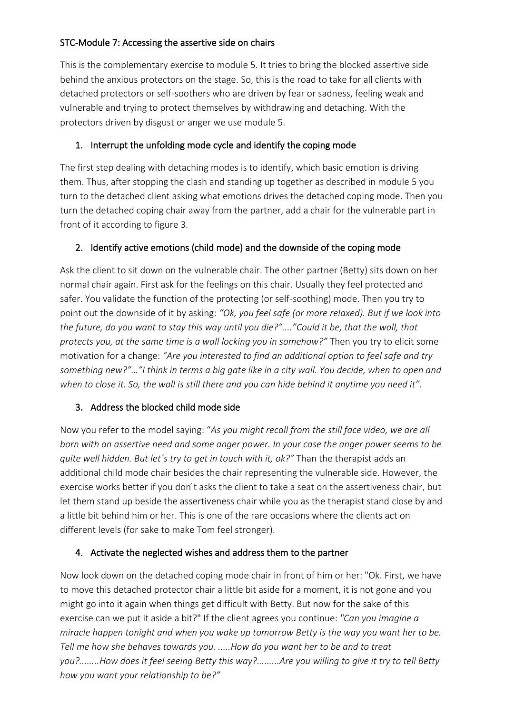### STC-Module 7: Accessing the assertive side on chairs

This is the complementary exercise to module 5. It tries to bring the blocked assertive side behind the anxious protectors on the stage. So, this is the road to take for all clients with detached protectors or self-soothers who are driven by fear or sadness, feeling weak and vulnerable and trying to protect themselves by withdrawing and detaching. With the protectors driven by disgust or anger we use module 5.

### 1. Interrupt the unfolding mode cycle and identify the coping mode

The first step dealing with detaching modes is to identify, which basic emotion is driving them. Thus, after stopping the clash and standing up together as described in module 5 you turn to the detached client asking what emotions drives the detached coping mode. Then you turn the detached coping chair away from the partner, add a chair for the vulnerable part in front of it according to figure 3.

# 2. Identify active emotions (child mode) and the downside of the coping mode

Ask the client to sit down on the vulnerable chair. The other partner (Betty) sits down on her normal chair again. First ask for the feelings on this chair. Usually they feel protected and safer. You validate the function of the protecting (or self-soothing) mode. Then you try to point out the downside of it by asking: *"Ok, you feel safe (or more relaxed). But if we look into the future, do you want to stay this way until you die?"...."Could it be, that the wall, that protects you, at the same time is a wall locking you in somehow?"* Then you try to elicit some motivation for a change: *"Are you interested to find an additional option to feel safe and try something new?"…"I think in terms a big gate like in a city wall. You decide, when to open and when to close it. So, the wall is still there and you can hide behind it anytime you need it".*

# 3. Address the blocked child mode side

Now you refer to the model saying: "*As you might recall from the still face video, we are all born with an assertive need and some anger power. In your case the anger power seems to be quite well hidden. But let´s try to get in touch with it, ok?"* Than the therapist adds an additional child mode chair besides the chair representing the vulnerable side. However, the exercise works better if you don't asks the client to take a seat on the assertiveness chair, but let them stand up beside the assertiveness chair while you as the therapist stand close by and a little bit behind him or her. This is one of the rare occasions where the clients act on different levels (for sake to make Tom feel stronger).

### 4. Activate the neglected wishes and address them to the partner

Now look down on the detached coping mode chair in front of him or her: "Ok. First, we have to move this detached protector chair a little bit aside for a moment, it is not gone and you might go into it again when things get difficult with Betty. But now for the sake of this exercise can we put it aside a bit?" If the client agrees you continue: *"Can you imagine a miracle happen tonight and when you wake up tomorrow Betty is the way you want her to be. Tell me how she behaves towards you. .....How do you want her to be and to treat you?........How does it feel seeing Betty this way?.........Are you willing to give it try to tell Betty how you want your relationship to be?"*